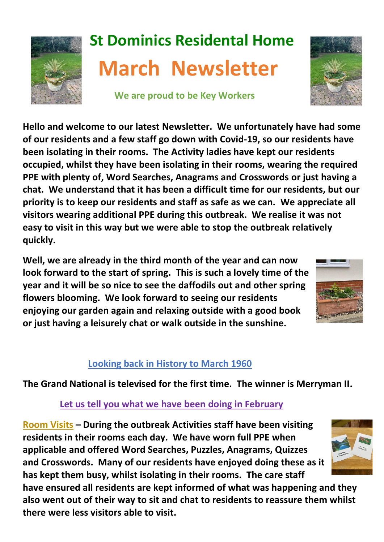

# **St Dominics Residental Home March Newsletter**

 **We are proud to be Key Workers**



**Hello and welcome to our latest Newsletter. We unfortunately have had some of our residents and a few staff go down with Covid-19, so our residents have been isolating in their rooms. The Activity ladies have kept our residents occupied, whilst they have been isolating in their rooms, wearing the required PPE with plenty of, Word Searches, Anagrams and Crosswords or just having a chat. We understand that it has been a difficult time for our residents, but our priority is to keep our residents and staff as safe as we can. We appreciate all visitors wearing additional PPE during this outbreak. We realise it was not easy to visit in this way but we were able to stop the outbreak relatively quickly.**

**Well, we are already in the third month of the year and can now look forward to the start of spring. This is such a lovely time of the year and it will be so nice to see the daffodils out and other spring flowers blooming. We look forward to seeing our residents enjoying our garden again and relaxing outside with a good book or just having a leisurely chat or walk outside in the sunshine.**



## **Looking back in History to March 1960**

## **The Grand National is televised for the first time. The winner is Merryman II.**

## **Let us tell you what we have been doing in February**

**Room Visits – During the outbreak Activities staff have been visiting residents in their rooms each day. We have worn full PPE when applicable and offered Word Searches, Puzzles, Anagrams, Quizzes and Crosswords. Many of our residents have enjoyed doing these as it has kept them busy, whilst isolating in their rooms. The care staff** 



**have ensured all residents are kept informed of what was happening and they also went out of their way to sit and chat to residents to reassure them whilst there were less visitors able to visit.**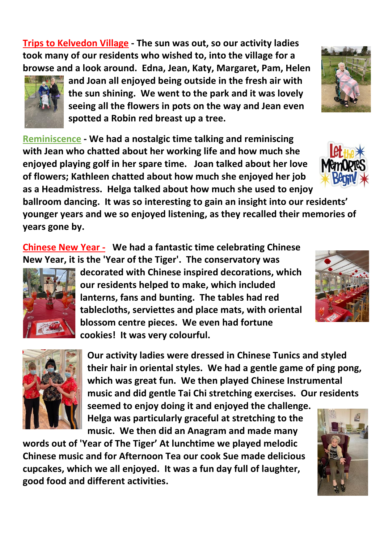**Trips to Kelvedon Village - The sun was out, so our activity ladies took many of our residents who wished to, into the village for a browse and a look around. Edna, Jean, Katy, Margaret, Pam, Helen** 



**and Joan all enjoyed being outside in the fresh air with the sun shining. We went to the park and it was lovely seeing all the flowers in pots on the way and Jean even spotted a Robin red breast up a tree.**

**Reminiscence - We had a nostalgic time talking and reminiscing with Jean who chatted about her working life and how much she enjoyed playing golf in her spare time. Joan talked about her love of flowers; Kathleen chatted about how much she enjoyed her job as a Headmistress. Helga talked about how much she used to enjoy** 

**ballroom dancing. It was so interesting to gain an insight into our residents' younger years and we so enjoyed listening, as they recalled their memories of years gone by.** 

**Chinese New Year - We had a fantastic time celebrating Chinese New Year, it is the 'Year of the Tiger'. The conservatory was** 



**decorated with Chinese inspired decorations, which our residents helped to make, which included lanterns, fans and bunting. The tables had red tablecloths, serviettes and place mats, with oriental blossom centre pieces. We even had fortune cookies! It was very colourful.** 





**Our activity ladies were dressed in Chinese Tunics and styled their hair in oriental styles. We had a gentle game of ping pong, which was great fun. We then played Chinese Instrumental music and did gentle Tai Chi stretching exercises. Our residents** 

**seemed to enjoy doing it and enjoyed the challenge. Helga was particularly graceful at stretching to the music. We then did an Anagram and made many** 

**words out of 'Year of The Tiger' At lunchtime we played melodic Chinese music and for Afternoon Tea our cook Sue made delicious cupcakes, which we all enjoyed. It was a fun day full of laughter, good food and different activities.**





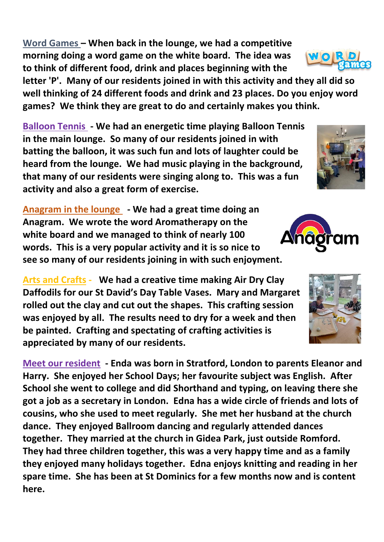**Word Games – When back in the lounge, we had a competitive morning doing a word game on the white board. The idea was to think of different food, drink and places beginning with the** 

**letter 'P'. Many of our residents joined in with this activity and they all did so well thinking of 24 different foods and drink and 23 places. Do you enjoy word games? We think they are great to do and certainly makes you think.**

**Balloon Tennis - We had an energetic time playing Balloon Tennis in the main lounge. So many of our residents joined in with batting the balloon, it was such fun and lots of laughter could be heard from the lounge. We had music playing in the background, that many of our residents were singing along to. This was a fun activity and also a great form of exercise.** 

**Anagram in the lounge - We had a great time doing an Anagram. We wrote the word Aromatherapy on the white board and we managed to think of nearly 100 words. This is a very popular activity and it is so nice to see so many of our residents joining in with such enjoyment.**

**Arts and Crafts - We had a creative time making Air Dry Clay Daffodils for our St David's Day Table Vases. Mary and Margaret rolled out the clay and cut out the shapes. This crafting session was enjoyed by all. The results need to dry for a week and then be painted. Crafting and spectating of crafting activities is appreciated by many of our residents.** 

**Meet our resident - Enda was born in Stratford, London to parents Eleanor and Harry. She enjoyed her School Days; her favourite subject was English. After School she went to college and did Shorthand and typing, on leaving there she got a job as a secretary in London. Edna has a wide circle of friends and lots of cousins, who she used to meet regularly. She met her husband at the church dance. They enjoyed Ballroom dancing and regularly attended dances together. They married at the church in Gidea Park, just outside Romford. They had three children together, this was a very happy time and as a family they enjoyed many holidays together. Edna enjoys knitting and reading in her spare time. She has been at St Dominics for a few months now and is content here.**









WOR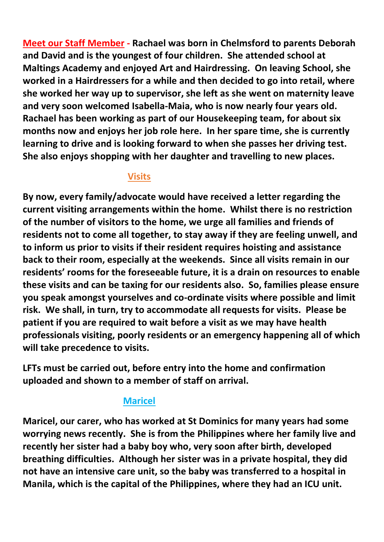**Meet our Staff Member - Rachael was born in Chelmsford to parents Deborah and David and is the youngest of four children. She attended school at Maltings Academy and enjoyed Art and Hairdressing. On leaving School, she worked in a Hairdressers for a while and then decided to go into retail, where she worked her way up to supervisor, she left as she went on maternity leave and very soon welcomed Isabella-Maia, who is now nearly four years old. Rachael has been working as part of our Housekeeping team, for about six months now and enjoys her job role here. In her spare time, she is currently learning to drive and is looking forward to when she passes her driving test. She also enjoys shopping with her daughter and travelling to new places.**

#### **Visits**

**By now, every family/advocate would have received a letter regarding the current visiting arrangements within the home. Whilst there is no restriction of the number of visitors to the home, we urge all families and friends of residents not to come all together, to stay away if they are feeling unwell, and to inform us prior to visits if their resident requires hoisting and assistance back to their room, especially at the weekends. Since all visits remain in our residents' rooms for the foreseeable future, it is a drain on resources to enable these visits and can be taxing for our residents also. So, families please ensure you speak amongst yourselves and co-ordinate visits where possible and limit risk. We shall, in turn, try to accommodate all requests for visits. Please be patient if you are required to wait before a visit as we may have health professionals visiting, poorly residents or an emergency happening all of which will take precedence to visits.**

**LFTs must be carried out, before entry into the home and confirmation uploaded and shown to a member of staff on arrival.**

## **Maricel**

**Maricel, our carer, who has worked at St Dominics for many years had some worrying news recently. She is from the Philippines where her family live and recently her sister had a baby boy who, very soon after birth, developed breathing difficulties. Although her sister was in a private hospital, they did not have an intensive care unit, so the baby was transferred to a hospital in Manila, which is the capital of the Philippines, where they had an ICU unit.**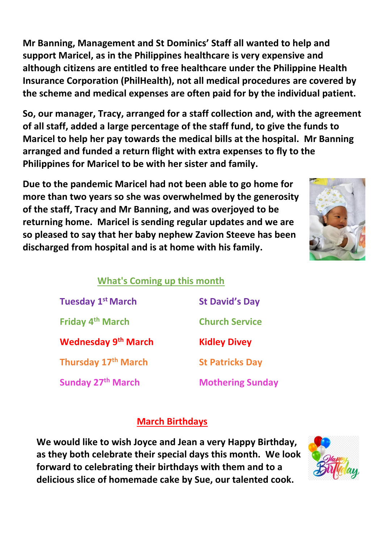**Mr Banning, Management and St Dominics' Staff all wanted to help and support Maricel, as in the Philippines healthcare is very expensive and although citizens are entitled to free healthcare under the Philippine Health Insurance Corporation (PhilHealth), not all medical procedures are covered by the scheme and medical expenses are often paid for by the individual patient.** 

**So, our manager, Tracy, arranged for a staff collection and, with the agreement of all staff, added a large percentage of the staff fund, to give the funds to Maricel to help her pay towards the medical bills at the hospital. Mr Banning arranged and funded a return flight with extra expenses to fly to the Philippines for Maricel to be with her sister and family.**

**Due to the pandemic Maricel had not been able to go home for more than two years so she was overwhelmed by the generosity of the staff, Tracy and Mr Banning, and was overjoyed to be returning home. Maricel is sending regular updates and we are so pleased to say that her baby nephew Zavion Steeve has been discharged from hospital and is at home with his family.**



## **What's Coming up this month**

| <b>Tuesday 1st March</b><br>Friday 4 <sup>th</sup> March<br><b>Wednesday 9th March</b> | <b>St David's Day</b><br><b>Church Service</b><br><b>Kidley Divey</b> |                                 |                         |
|----------------------------------------------------------------------------------------|-----------------------------------------------------------------------|---------------------------------|-------------------------|
|                                                                                        |                                                                       | Thursday 17 <sup>th</sup> March | <b>St Patricks Day</b>  |
|                                                                                        |                                                                       | <b>Sunday 27th March</b>        | <b>Mothering Sunday</b> |

## **March Birthdays**

**We would like to wish Joyce and Jean a very Happy Birthday, as they both celebrate their special days this month. We look forward to celebrating their birthdays with them and to a delicious slice of homemade cake by Sue, our talented cook.**